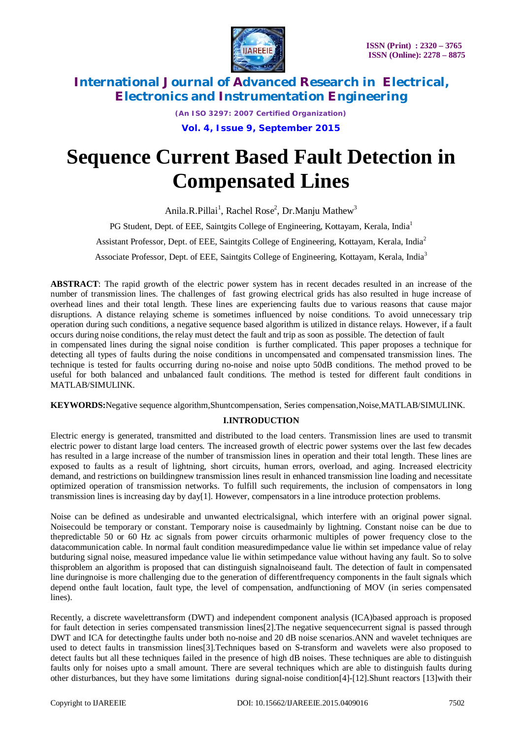

*(An ISO 3297: 2007 Certified Organization)*

**Vol. 4, Issue 9, September 2015**

# **Sequence Current Based Fault Detection in Compensated Lines**

Anila.R.Pillai<sup>1</sup>, Rachel Rose<sup>2</sup>, Dr.Manju Mathew<sup>3</sup> PG Student, Dept. of EEE, Saintgits College of Engineering, Kottayam, Kerala, India<sup>1</sup> Assistant Professor, Dept. of EEE, Saintgits College of Engineering, Kottayam, Kerala, India<sup>2</sup> Associate Professor, Dept. of EEE, Saintgits College of Engineering, Kottayam, Kerala, India<sup>3</sup>

**ABSTRACT**: The rapid growth of the electric power system has in recent decades resulted in an increase of the number of transmission lines. The challenges of fast growing electrical grids has also resulted in huge increase of overhead lines and their total length. These lines are experiencing faults due to various reasons that cause major disruptions. A distance relaying scheme is sometimes influenced by noise conditions. To avoid unnecessary trip operation during such conditions, a negative sequence based algorithm is utilized in distance relays. However, if a fault occurs during noise conditions, the relay must detect the fault and trip as soon as possible. The detection of fault in compensated lines during the signal noise condition is further complicated. This paper proposes a technique for detecting all types of faults during the noise conditions in uncompensated and compensated transmission lines. The

technique is tested for faults occurring during no-noise and noise upto 50dB conditions. The method proved to be useful for both balanced and unbalanced fault conditions. The method is tested for different fault conditions in MATLAB/SIMULINK.

**KEYWORDS:**Negative sequence algorithm,Shuntcompensation, Series compensation,Noise,MATLAB/SIMULINK.

### **I.INTRODUCTION**

Electric energy is generated, transmitted and distributed to the load centers. Transmission lines are used to transmit electric power to distant large load centers. The increased growth of electric power systems over the last few decades has resulted in a large increase of the number of transmission lines in operation and their total length. These lines are exposed to faults as a result of lightning, short circuits, human errors, overload, and aging. Increased electricity demand, and restrictions on buildingnew transmission lines result in enhanced transmission line loading and necessitate optimized operation of transmission networks. To fulfill such requirements, the inclusion of compensators in long transmission lines is increasing day by day[1]. However, compensators in a line introduce protection problems.

Noise can be defined as undesirable and unwanted electricalsignal, which interfere with an original power signal. Noisecould be temporary or constant. Temporary noise is causedmainly by lightning. Constant noise can be due to thepredictable 50 or 60 Hz ac signals from power circuits orharmonic multiples of power frequency close to the datacommunication cable. In normal fault condition measuredimpedance value lie within set impedance value of relay butduring signal noise, measured impedance value lie within setimpedance value without having any fault. So to solve thisproblem an algorithm is proposed that can distinguish signalnoiseand fault. The detection of fault in compensated line duringnoise is more challenging due to the generation of differentfrequency components in the fault signals which depend onthe fault location, fault type, the level of compensation, andfunctioning of MOV (in series compensated lines).

Recently, a discrete wavelettransform (DWT) and independent component analysis (ICA)based approach is proposed for fault detection in series compensated transmission lines[2].The negative sequencecurrent signal is passed through DWT and ICA for detectingthe faults under both no-noise and 20 dB noise scenarios.ANN and wavelet techniques are used to detect faults in transmission lines[3].Techniques based on S-transform and wavelets were also proposed to detect faults but all these techniques failed in the presence of high dB noises. These techniques are able to distinguish faults only for noises upto a small amount. There are several techniques which are able to distinguish faults during other disturbances, but they have some limitations during signal-noise condition[4]-[12].Shunt reactors [13]with their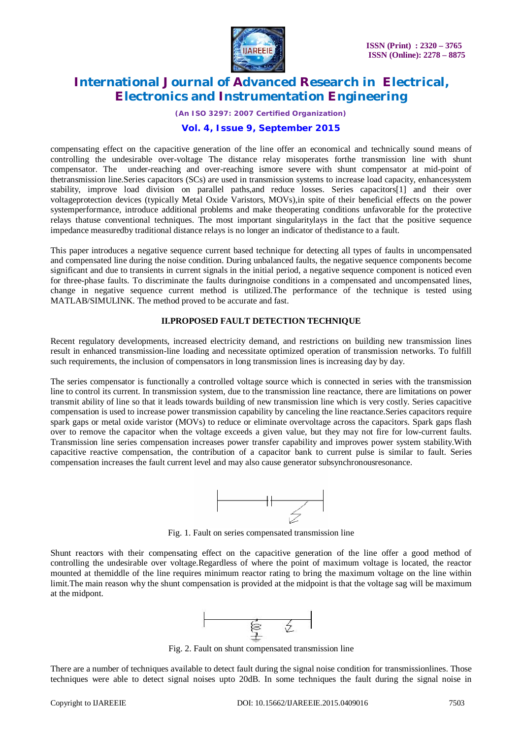

*(An ISO 3297: 2007 Certified Organization)*

### **Vol. 4, Issue 9, September 2015**

compensating effect on the capacitive generation of the line offer an economical and technically sound means of controlling the undesirable over-voltage The distance relay misoperates forthe transmission line with shunt compensator. The under-reaching and over-reaching ismore severe with shunt compensator at mid-point of thetransmission line.Series capacitors (SCs) are used in transmission systems to increase load capacity, enhancesystem stability, improve load division on parallel paths,and reduce losses. Series capacitors[1] and their over voltageprotection devices (typically Metal Oxide Varistors, MOVs),in spite of their beneficial effects on the power systemperformance, introduce additional problems and make theoperating conditions unfavorable for the protective relays thatuse conventional techniques. The most important singularitylays in the fact that the positive sequence impedance measuredby traditional distance relays is no longer an indicator of thedistance to a fault.

This paper introduces a negative sequence current based technique for detecting all types of faults in uncompensated and compensated line during the noise condition. During unbalanced faults, the negative sequence components become significant and due to transients in current signals in the initial period, a negative sequence component is noticed even for three-phase faults. To discriminate the faults duringnoise conditions in a compensated and uncompensated lines, change in negative sequence current method is utilized.The performance of the technique is tested using MATLAB/SIMULINK. The method proved to be accurate and fast.

### **II.PROPOSED FAULT DETECTION TECHNIQUE**

Recent regulatory developments, increased electricity demand, and restrictions on building new transmission lines result in enhanced transmission-line loading and necessitate optimized operation of transmission networks. To fulfill such requirements, the inclusion of compensators in long transmission lines is increasing day by day.

The series compensator is functionally a controlled voltage source which is connected in series with the transmission line to control its current. In transmission system, due to the transmission line reactance, there are limitations on power transmit ability of line so that it leads towards building of new transmission line which is very costly. Series capacitive compensation is used to increase power transmission capability by canceling the line reactance.Series capacitors require spark gaps or metal oxide varistor (MOVs) to reduce or eliminate overvoltage across the capacitors. Spark gaps flash over to remove the capacitor when the voltage exceeds a given value, but they may not fire for low-current faults. Transmission line series compensation increases power transfer capability and improves power system stability.With capacitive reactive compensation, the contribution of a capacitor bank to current pulse is similar to fault. Series compensation increases the fault current level and may also cause generator subsynchronousresonance.



Fig. 1. Fault on series compensated transmission line

Shunt reactors with their compensating effect on the capacitive generation of the line offer a good method of controlling the undesirable over voltage.Regardless of where the point of maximum voltage is located, the reactor mounted at themiddle of the line requires minimum reactor rating to bring the maximum voltage on the line within limit.The main reason why the shunt compensation is provided at the midpoint is that the voltage sag will be maximum at the midpont.



Fig. 2. Fault on shunt compensated transmission line

There are a number of techniques available to detect fault during the signal noise condition for transmissionlines. Those techniques were able to detect signal noises upto 20dB. In some techniques the fault during the signal noise in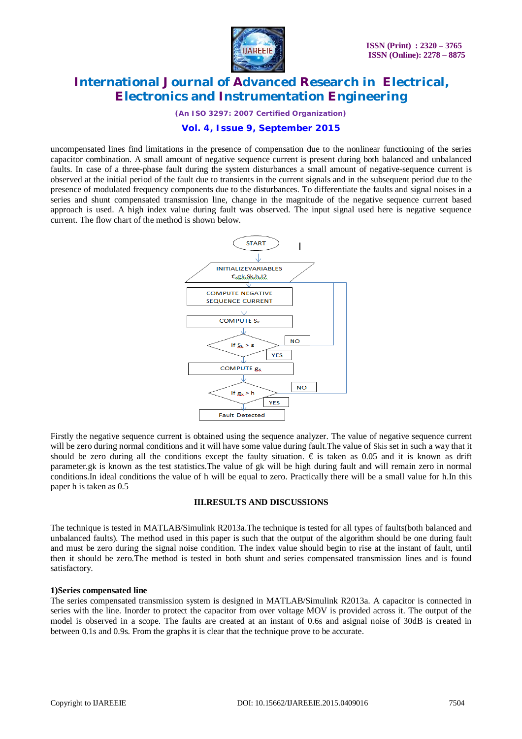

*(An ISO 3297: 2007 Certified Organization)*

### **Vol. 4, Issue 9, September 2015**

uncompensated lines find limitations in the presence of compensation due to the nonlinear functioning of the series capacitor combination. A small amount of negative sequence current is present during both balanced and unbalanced faults. In case of a three-phase fault during the system disturbances a small amount of negative-sequence current is observed at the initial period of the fault due to transients in the current signals and in the subsequent period due to the presence of modulated frequency components due to the disturbances. To differentiate the faults and signal noises in a series and shunt compensated transmission line, change in the magnitude of the negative sequence current based approach is used. A high index value during fault was observed. The input signal used here is negative sequence current. The flow chart of the method is shown below.



Firstly the negative sequence current is obtained using the sequence analyzer. The value of negative sequence current will be zero during normal conditions and it will have some value during fault.The value of Skis set in such a way that it should be zero during all the conditions except the faulty situation.  $\epsilon$  is taken as 0.05 and it is known as drift parameter.gk is known as the test statistics.The value of gk will be high during fault and will remain zero in normal conditions.In ideal conditions the value of h will be equal to zero. Practically there will be a small value for h.In this paper h is taken as 0.5

### **III.RESULTS AND DISCUSSIONS**

The technique is tested in MATLAB/Simulink R2013a.The technique is tested for all types of faults(both balanced and unbalanced faults). The method used in this paper is such that the output of the algorithm should be one during fault and must be zero during the signal noise condition. The index value should begin to rise at the instant of fault, until then it should be zero.The method is tested in both shunt and series compensated transmission lines and is found satisfactory.

### **1)Series compensated line**

The series compensated transmission system is designed in MATLAB/Simulink R2013a. A capacitor is connected in series with the line. Inorder to protect the capacitor from over voltage MOV is provided across it. The output of the model is observed in a scope. The faults are created at an instant of 0.6s and asignal noise of 30dB is created in between 0.1s and 0.9s. From the graphs it is clear that the technique prove to be accurate.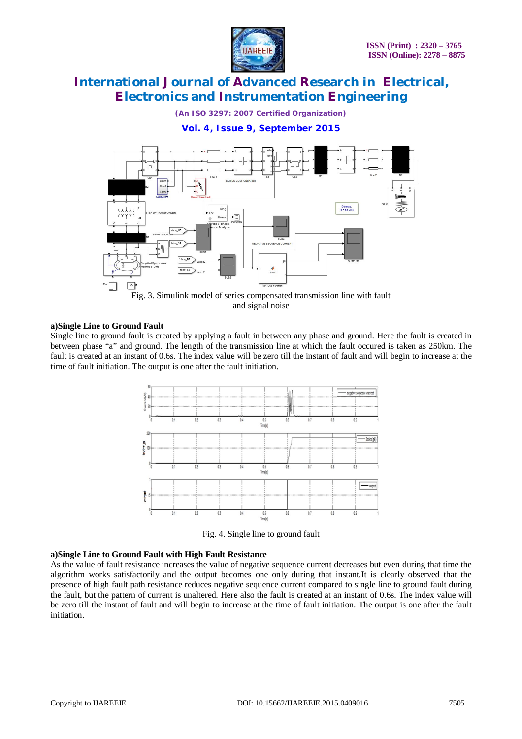

*(An ISO 3297: 2007 Certified Organization)*

**Vol. 4, Issue 9, September 2015**



Fig. 3. Simulink model of series compensated transmission line with fault and signal noise

### **a)Single Line to Ground Fault**

Single line to ground fault is created by applying a fault in between any phase and ground. Here the fault is created in between phase "a" and ground. The length of the transmission line at which the fault occured is taken as 250km. The fault is created at an instant of 0.6s. The index value will be zero till the instant of fault and will begin to increase at the time of fault initiation. The output is one after the fault initiation.



Fig. 4. Single line to ground fault

### **a)Single Line to Ground Fault with High Fault Resistance**

As the value of fault resistance increases the value of negative sequence current decreases but even during that time the algorithm works satisfactorily and the output becomes one only during that instant.It is clearly observed that the presence of high fault path resistance reduces negative sequence current compared to single line to ground fault during the fault, but the pattern of current is unaltered. Here also the fault is created at an instant of 0.6s. The index value will be zero till the instant of fault and will begin to increase at the time of fault initiation. The output is one after the fault initiation.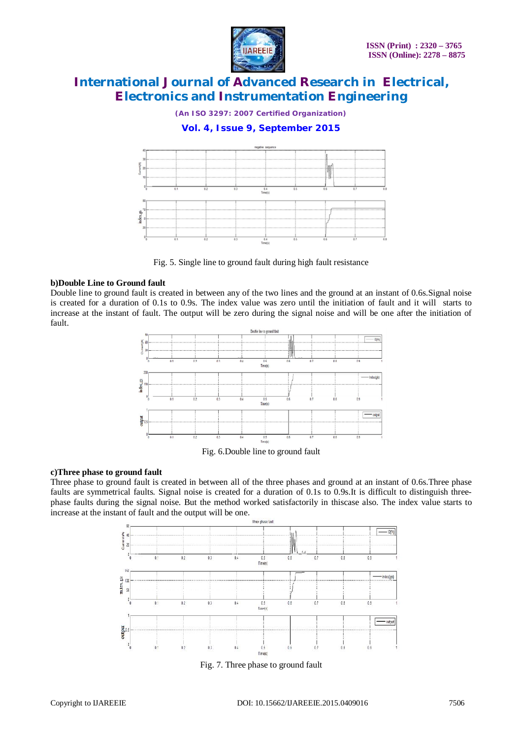

*(An ISO 3297: 2007 Certified Organization)*

### **Vol. 4, Issue 9, September 2015**



Fig. 5. Single line to ground fault during high fault resistance

### **b)Double Line to Ground fault**

Double line to ground fault is created in between any of the two lines and the ground at an instant of 0.6s.Signal noise is created for a duration of 0.1s to 0.9s. The index value was zero until the initiation of fault and it will starts to increase at the instant of fault. The output will be zero during the signal noise and will be one after the initiation of fault.



Fig. 6.Double line to ground fault

#### **c)Three phase to ground fault**

Three phase to ground fault is created in between all of the three phases and ground at an instant of 0.6s.Three phase faults are symmetrical faults. Signal noise is created for a duration of 0.1s to 0.9s.It is difficult to distinguish threephase faults during the signal noise. But the method worked satisfactorily in thiscase also. The index value starts to increase at the instant of fault and the output will be one.



Fig. 7. Three phase to ground fault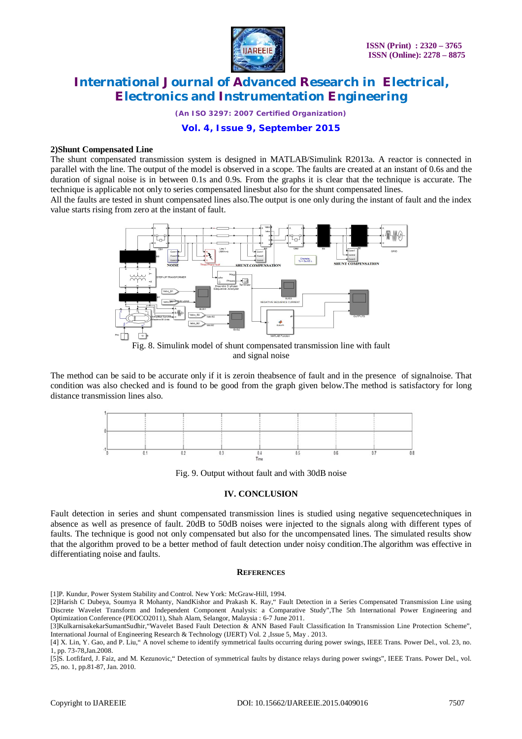

*(An ISO 3297: 2007 Certified Organization)*

**Vol. 4, Issue 9, September 2015**

#### **2)Shunt Compensated Line**

The shunt compensated transmission system is designed in MATLAB/Simulink R2013a. A reactor is connected in parallel with the line. The output of the model is observed in a scope. The faults are created at an instant of 0.6s and the duration of signal noise is in between 0.1s and 0.9s. From the graphs it is clear that the technique is accurate. The technique is applicable not only to series compensated linesbut also for the shunt compensated lines.

All the faults are tested in shunt compensated lines also.The output is one only during the instant of fault and the index value starts rising from zero at the instant of fault.



Fig. 8. Simulink model of shunt compensated transmission line with fault and signal noise

The method can be said to be accurate only if it is zeroin theabsence of fault and in the presence of signalnoise. That condition was also checked and is found to be good from the graph given below.The method is satisfactory for long distance transmission lines also.

Fig. 9. Output without fault and with 30dB noise

### **IV. CONCLUSION**

Fault detection in series and shunt compensated transmission lines is studied using negative sequencetechniques in absence as well as presence of fault. 20dB to 50dB noises were injected to the signals along with different types of faults. The technique is good not only compensated but also for the uncompensated lines. The simulated results show that the algorithm proved to be a better method of fault detection under noisy condition.The algorithm was effective in differentiating noise and faults.

#### **REFERENCES**

[1]P. Kundur*,* Power System Stability and Control*.* New York: McGraw-Hill, 1994.

[2]Harish C Dubeya, Soumya R Mohanty, NandKishor and Prakash K. Ray," Fault Detection in a Series Compensated Transmission Line using Discrete Wavelet Transform and Independent Component Analysis: a Comparative Study",The 5th International Power Engineering and Optimization Conference (PEOCO2011), Shah Alam, Selangor, Malaysia : 6-7 June 2011.

[5]S. Lotfifard, J. Faiz, and M. Kezunovic," Detection of symmetrical faults by distance relays during power swings", IEEE Trans. Power Del., vol. 25, no. 1, pp.81-87, Jan. 2010.

<sup>[3]</sup>KulkarnisakekarSumantSudhir,"Wavelet Based Fault Detection & ANN Based Fault Classification In Transmission Line Protection Scheme", International Journal of Engineering Research & Technology (IJERT) Vol. 2 ,Issue 5, May . 2013.

<sup>[4]</sup> X. Lin, Y. Gao, and P. Liu," A novel scheme to identify symmetrical faults occurring during power swings, IEEE Trans. Power Del., vol. 23, no. 1, pp. 73-78,Jan.2008.